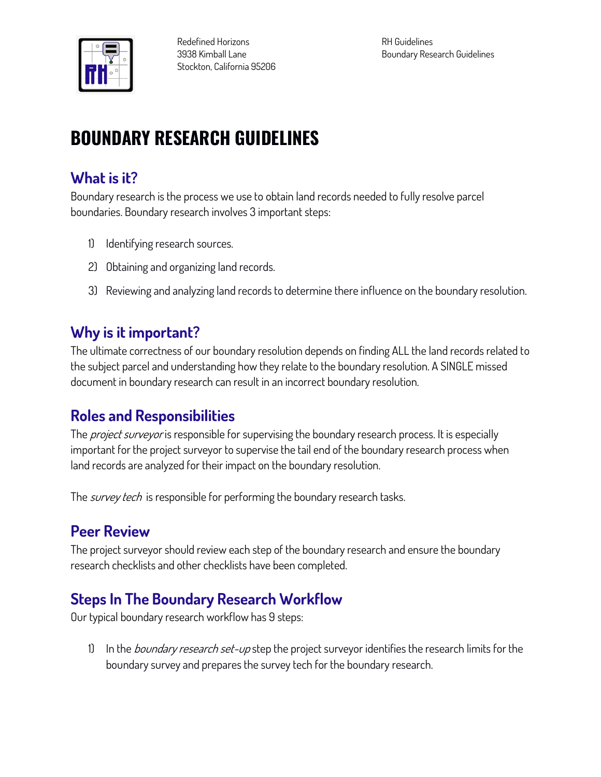

# **BOUNDARY RESEARCH GUIDELINES**

## **What is it?**

**Boundary research is the process we use to obtain land records needed to fully resolve parcel boundaries. Boundary research involves 3 important steps:**

- **1) Identifying research sources.**
- **2) Obtaining and organizing land records.**
- **3) Reviewing and analyzing land records to determine there influence on the boundary resolution.**

#### **Why is it important?**

**The ultimate correctness of our boundary resolution depends on finding ALL the land records related to the subject parcel and understanding how they relate to the boundary resolution. A SINGLE missed document in boundary research can result in an incorrect boundary resolution.**

#### **Roles and Responsibilities**

**The project surveyor is responsible for supervising the boundary research process. It is especially important for the project surveyor to supervise the tail end of the boundary research process when land records are analyzed for their impact on the boundary resolution.**

**The survey tech is responsible for performing the boundary research tasks.**

## **Peer Review**

**The project surveyor should review each step of the boundary research and ensure the boundary research checklists and other checklists have been completed.**

## **Steps In The Boundary Research Workflow**

**Our typical boundary research workflow has 9 steps:**

**1) In the boundary research set-up step the project surveyor identifies the research limits for the boundary survey and prepares the survey tech for the boundary research.**